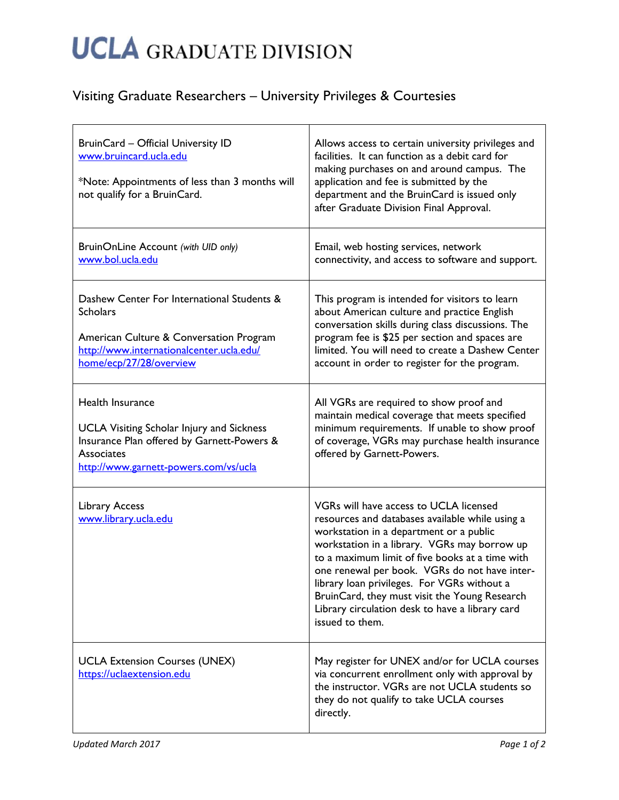## **UCLA** GRADUATE DIVISION

## Visiting Graduate Researchers – University Privileges & Courtesies

| BruinCard - Official University ID<br>www.bruincard.ucla.edu<br>*Note: Appointments of less than 3 months will<br>not qualify for a BruinCard.                                   | Allows access to certain university privileges and<br>facilities. It can function as a debit card for<br>making purchases on and around campus. The<br>application and fee is submitted by the<br>department and the BruinCard is issued only<br>after Graduate Division Final Approval.                                                                                                                                                                       |
|----------------------------------------------------------------------------------------------------------------------------------------------------------------------------------|----------------------------------------------------------------------------------------------------------------------------------------------------------------------------------------------------------------------------------------------------------------------------------------------------------------------------------------------------------------------------------------------------------------------------------------------------------------|
| BruinOnLine Account (with UID only)<br>www.bol.ucla.edu                                                                                                                          | Email, web hosting services, network<br>connectivity, and access to software and support.                                                                                                                                                                                                                                                                                                                                                                      |
| Dashew Center For International Students &<br><b>Scholars</b><br>American Culture & Conversation Program<br>http://www.internationalcenter.ucla.edu/<br>home/ecp/27/28/overview  | This program is intended for visitors to learn<br>about American culture and practice English<br>conversation skills during class discussions. The<br>program fee is \$25 per section and spaces are<br>limited. You will need to create a Dashew Center<br>account in order to register for the program.                                                                                                                                                      |
| Health Insurance<br><b>UCLA Visiting Scholar Injury and Sickness</b><br>Insurance Plan offered by Garnett-Powers &<br><b>Associates</b><br>http://www.garnett-powers.com/vs/ucla | All VGRs are required to show proof and<br>maintain medical coverage that meets specified<br>minimum requirements. If unable to show proof<br>of coverage, VGRs may purchase health insurance<br>offered by Garnett-Powers.                                                                                                                                                                                                                                    |
| <b>Library Access</b><br>www.library.ucla.edu                                                                                                                                    | VGRs will have access to UCLA licensed<br>resources and databases available while using a<br>workstation in a department or a public<br>workstation in a library. VGRs may borrow up<br>to a maximum limit of five books at a time with<br>one renewal per book. VGRs do not have inter-<br>library loan privileges. For VGRs without a<br>BruinCard, they must visit the Young Research<br>Library circulation desk to have a library card<br>issued to them. |
| <b>UCLA Extension Courses (UNEX)</b><br>https://uclaextension.edu                                                                                                                | May register for UNEX and/or for UCLA courses<br>via concurrent enrollment only with approval by<br>the instructor. VGRs are not UCLA students so<br>they do not qualify to take UCLA courses<br>directly.                                                                                                                                                                                                                                                     |